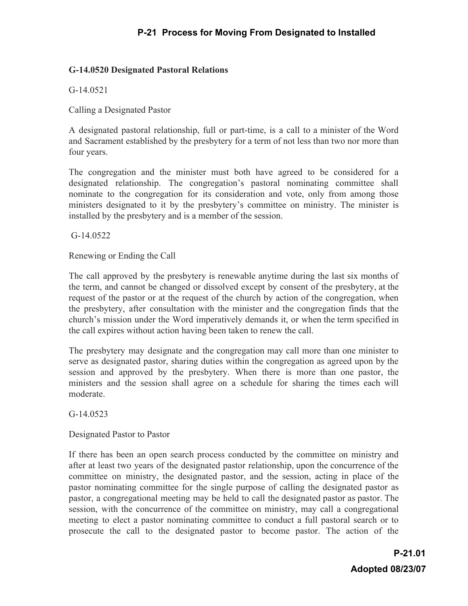## **G-14.0520 Designated Pastoral Relations**

G-14.0521

Calling a Designated Pastor

A designated pastoral relationship, full or part-time, is a call to a minister of the Word and Sacrament established by the presbytery for a term of not less than two nor more than four years.

The congregation and the minister must both have agreed to be considered for a designated relationship. The congregation's pastoral nominating committee shall nominate to the congregation for its consideration and vote, only from among those ministers designated to it by the presbytery's committee on ministry. The minister is installed by the presbytery and is a member of the session.

G-14.0522

Renewing or Ending the Call

The call approved by the presbytery is renewable anytime during the last six months of the term, and cannot be changed or dissolved except by consent of the presbytery, at the request of the pastor or at the request of the church by action of the congregation, when the presbytery, after consultation with the minister and the congregation finds that the church's mission under the Word imperatively demands it, or when the term specified in the call expires without action having been taken to renew the call.

The presbytery may designate and the congregation may call more than one minister to serve as designated pastor, sharing duties within the congregation as agreed upon by the session and approved by the presbytery. When there is more than one pastor, the ministers and the session shall agree on a schedule for sharing the times each will moderate.

G-14.0523

Designated Pastor to Pastor

If there has been an open search process conducted by the committee on ministry and after at least two years of the designated pastor relationship, upon the concurrence of the committee on ministry, the designated pastor, and the session, acting in place of the pastor nominating committee for the single purpose of calling the designated pastor as pastor, a congregational meeting may be held to call the designated pastor as pastor. The session, with the concurrence of the committee on ministry, may call a congregational meeting to elect a pastor nominating committee to conduct a full pastoral search or to prosecute the call to the designated pastor to become pastor. The action of the